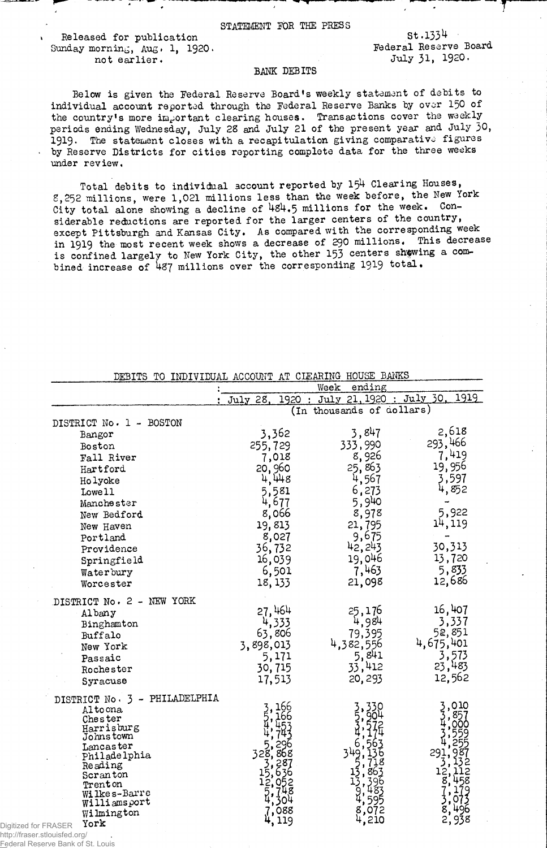Released for publication<br>mday morning, Aug. 1. 1920.<br>Federal Reserve Board Sunday morning, Aug. 1, 1920. not earlier.  $July 31, 1920$ .

## BANK DEBITS

Below is given the Federal Reserve Board's weekly statement of debits to individual account reported through the Federal Reserve Banks by over 150 of the country's more important clearing houses. Transactions cover the weekly periods ending Wednesday, July 28 and July 21 of the present year and July 30, 1919. The statement closes with a recapitulation giving comparative figures by Reserve Districts for cities reporting complete data for the three weeks under review.

Total debits to individual account reported by  $154$  Clearing Houses, S, 252 millions, were 1,021 millions less than the week before, the New York City total alone showing a decline of  $484.5$  millions for the week. Considerable reductions are reported for the larger centers of the country, except Pittsburgh and Kansas City. As compared with the corresponding week in 1919 the most recent week shows a decrease of 290 millions. This decrease is confined largely to New York City, the other 153 centers shewing a combined increase of 487 millions over the corresponding 1919 total.

| DEBITS TO                     | INDIVIDUAL ACCOUNT AT CIEARING HOUSE BANKS |                           |                 |
|-------------------------------|--------------------------------------------|---------------------------|-----------------|
|                               |                                            | ending<br>Week            |                 |
|                               | July 28.<br>1920:                          | July 21, 1920 : July 30.  | 1919            |
|                               |                                            | (In thousands of dollars) |                 |
| DISTRICT No. 1 - BOSTON       |                                            |                           |                 |
| Bangor                        | 3,362                                      | 3,847                     | 2,618           |
| Boston                        | 255,729                                    | 333,990                   | 293,466         |
| Fall River                    | 7,018                                      | 8,926                     | 7,419           |
| Hartford                      | 20,960                                     | 25,863                    | 19,956          |
| Holyoke                       | 4,448                                      | 4,567                     | ,597<br>3       |
| Lowe 11                       | 5,581                                      | 6,273                     | 4,852           |
| Manchester                    | 4,677                                      | 5,940                     |                 |
| New Bedford                   | 8,066                                      | 8,978                     | 5,922           |
| New Haven                     | 19,813                                     | 21,795                    | 14,119          |
| Portland                      | 8,027                                      | 9,675                     |                 |
| Providence                    | 36,732                                     | 42,243                    | 30,313          |
| Springfield                   | 16,039                                     | 19,046                    | 13,720          |
| Waterbury                     | 6,501                                      | 7,463                     | 5,833<br>12,686 |
| Worcester                     | 18, 133                                    | 21,098                    |                 |
| DISTRICT No. 2 - NEW YORK     |                                            |                           |                 |
| Albany                        | 27,464                                     | 25,176                    | 16,407          |
| Binghamton                    | 4,333                                      | ,984                      | 3,337           |
| Buffalo                       | 63,806                                     | 79,395                    | 52,851          |
| New York                      | 3,898,013                                  | 4,382,556                 | 4,675,401       |
| Passaic                       | 5,171                                      | 841<br>5,                 | 3,573           |
| Rochester                     | 30,715                                     | 33 <sub>1</sub><br>412    | 23,483          |
| Syracuse                      | 17,513                                     | 20,293                    | 12,562          |
| DISTRICT No. 3 - PHILADELPHIA |                                            |                           |                 |
| Altoona                       |                                            |                           |                 |
| Chester                       |                                            |                           |                 |
| Harrisburg<br>Johnstown       |                                            |                           |                 |
| Lancaster                     |                                            |                           |                 |
| Philadelphia                  |                                            |                           | 29.             |
| Reading                       |                                            |                           |                 |
| Scranton                      |                                            |                           |                 |
| Trenton<br>Wilkes-Barre       |                                            |                           |                 |
| Williamsport                  |                                            |                           |                 |
| Wilmington                    |                                            |                           |                 |
| York<br>Digitized for FRASER  |                                            |                           |                 |
| http://fraser.stlouisfed.org/ |                                            |                           |                 |

http://fraser.stlo Federal Reserve Bank of St. Louis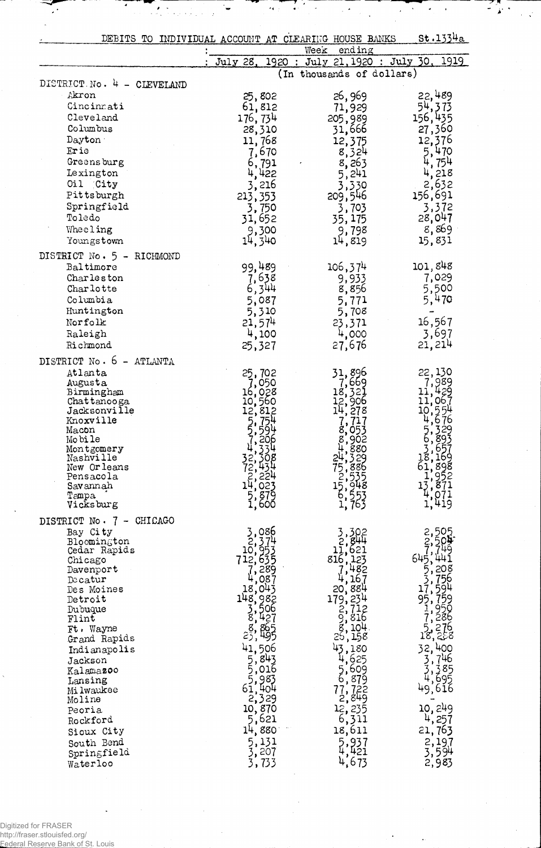| DEBITS TO                  | INDIVIDUAL ACCOUNT AT CLEARING HOUSE BANKS |                                                           | St.1334a              |
|----------------------------|--------------------------------------------|-----------------------------------------------------------|-----------------------|
|                            |                                            | ending<br>Week                                            |                       |
|                            | July 28,<br>1920 :                         | July 21, 1920 : July 30,                                  | 1919                  |
| DISTRICT No. 4 - CLEVELAND |                                            | (In thousands of dollars)                                 |                       |
| Akron                      |                                            |                                                           |                       |
| Cincinnati                 | 25,802<br>61,812                           | 26,969                                                    | 22,489<br>54,373      |
| Cleveland                  | 176, 734                                   | 71,929<br>205,989                                         | 156,435               |
| Columbus                   | 28,310                                     | 31,666                                                    | 27,360                |
| Dayton                     | 11,768                                     | 12,375                                                    | 12,376                |
| Erie                       | 7,670                                      | 8,324                                                     | 5<br>470              |
| Greensburg                 | 6,791                                      | 8,263                                                     |                       |
| Lexington                  | 422                                        | 5,241                                                     | 218                   |
| Oil City                   | 3,216                                      | 3,330                                                     | 2,632                 |
| Pittsburgh                 | 213, 353                                   | 209,546                                                   | 156,691               |
| Springfield                | 3,750                                      | 3,703                                                     | 3,372                 |
| Toledo                     | 31,652                                     | 35,175                                                    | 28,047                |
| Wheeling                   | 9,300                                      | 9,798                                                     | 8,869                 |
| Youngstown                 | 14,340                                     | 14,819                                                    | 15,831                |
| DISTRICT No. 5 - RICHMOND  |                                            |                                                           |                       |
| Baltimore                  | 99,489                                     | 106,374                                                   | 101,848               |
| Charleston                 | 7,638                                      | 9,933                                                     | 7,029                 |
| Charlotte                  | 6,344                                      | 8,856                                                     | 5,500                 |
| Columbia                   | 5,087                                      | 5,771                                                     | 5,470                 |
| Huntington                 | 5,310                                      | 5,708                                                     |                       |
| Norfolk                    | 21,574                                     | 23,371                                                    | 16,567                |
| Raleigh                    | 4,100                                      | 4,000                                                     | 3,697                 |
| Richmond                   | 25,327                                     | 27,676                                                    | 21, 214               |
| DISTRICT No. 6 - ATLANTA   |                                            |                                                           |                       |
| Atlanta                    | 25,702                                     | 31,896                                                    | 22,130                |
| Augusta                    | '.050                                      | 669                                                       |                       |
| Birmingham<br>Chattanooga  | 16,028<br>10,560                           | 18,<br>12.<br>906                                         | 11,                   |
| Jacksonville               |                                            |                                                           | 10                    |
| Knoxville                  |                                            |                                                           |                       |
| Macon                      |                                            |                                                           |                       |
| Mobile<br>Montgomery       |                                            | 880                                                       |                       |
| Nasnviile                  |                                            |                                                           |                       |
| New Orleans                |                                            | 886<br>535                                                | $\frac{18}{61}$<br>8  |
| Pensacola<br>Savannah      |                                            | 245<br>752<br>15<br>-94                                   |                       |
| Tampa                      |                                            | 6                                                         | O                     |
| Vicks burg                 | 1,600                                      | 763                                                       | ı,<br>19              |
| DISTRICT No. 7 - CHICAGO   |                                            |                                                           |                       |
| Bay City                   | 086                                        |                                                           | 505                   |
| Bloomington                |                                            | 844                                                       | 2<br>2                |
| Cedar Rapids               | 10                                         |                                                           |                       |
| Chicago<br>Davenport       | 712                                        | 816                                                       | 645<br>5              |
| Decatur                    |                                            |                                                           |                       |
| Des Moines                 |                                            |                                                           |                       |
| Detroit                    | 148                                        | 179,<br>23                                                | 95                    |
| Dubuque<br>Flint           |                                            | icions                                                    |                       |
| Ft. Wayne                  |                                            |                                                           |                       |
| Grand Rapids               |                                            | 25                                                        | 18                    |
| Indianapolis               | 41,<br>506                                 | 180                                                       | 32,<br>400            |
| Jackson                    | 843                                        | 625                                                       | $\frac{3}{4}$<br>46   |
| Kalamazoo                  | ,016<br>983                                | 609<br>6                                                  |                       |
| Lansing<br>Milwaukee       | 404<br>61                                  |                                                           | ь<br>49<br>6          |
| Moline                     | 2,329                                      | 722<br>849                                                |                       |
| Peoria                     | 10, 870                                    | $\begin{array}{c} \dot{z}, \\ \dot{z}, \end{array}$<br>23 | 10,249                |
| Rockford                   | ,621                                       | 311<br>6,                                                 | 4,257                 |
| Sioux City                 | 14,880                                     | 18,611                                                    | 763<br>21,            |
| South Bend                 | 5,131                                      | 937                                                       | 2,1<br>97             |
| Springfield<br>Waterloo    | 207                                        | 421<br>4.673                                              | 3,594<br>2.983<br>594 |

 $\overline{\bullet}$ 

 $\mathcal{L}(\mathcal{L})$ 

 $\mathbb{Z}^2$ 

۸

 $\overline{a}$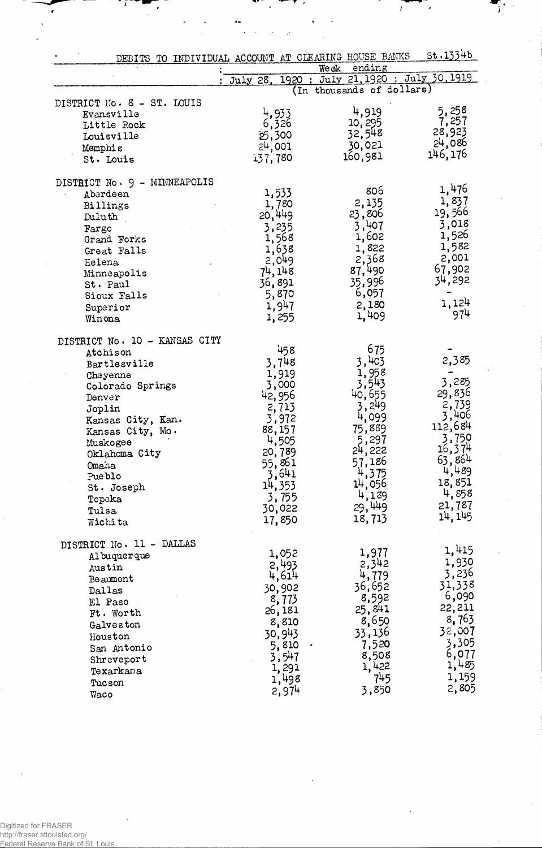| DEBITS TO INDIVIDUAL ACCOUNT AT CLEARING HOUSE BANKS |            |                                                                   | st.1334b |
|------------------------------------------------------|------------|-------------------------------------------------------------------|----------|
|                                                      |            | ending<br>Week                                                    |          |
|                                                      | : July 28. | 1920 : July 21, 1920 : July 30, 1919<br>(In thousands of dollars) |          |
|                                                      |            |                                                                   |          |
| DISTRICT No. 8 - ST. LOUIS                           |            | 4,919                                                             | 5,258    |
| Evansville                                           | 4,933      | 10, 295                                                           | 7,257    |
| Little Rock                                          | 6,326      |                                                                   | 28,923   |
| Louisville                                           | 25,300     | 32,548                                                            | 24,086   |
| Memphis                                              | 24,001     | 30,021                                                            | 146,176  |
| St. Louis                                            | 137,780    | 160,981                                                           |          |
| DISTRICT No. 9 - MINNEAPOLIS                         |            |                                                                   |          |
| Aberdeen                                             | 1,533      | 806                                                               | 1,476    |
| Billings                                             | 1,780      | 2,135                                                             | 1,837    |
| Duluth                                               | 20,449     | 23,806                                                            | 19,566   |
| Fargo                                                | 3,235      | 3,407                                                             | 3,018    |
| Grand Forks                                          | 1,568      | 1,602                                                             | 1,526    |
| Great Falls                                          | 1,638      | 1,822                                                             | 1,582    |
| Helena                                               | 2,049      | 2,368                                                             | 2,001    |
| Minneapolis                                          | 74,148     | 87,490                                                            | 67,902   |
| St. Paul                                             | 36,891     | 35,996                                                            | 34,292   |
| Sioux Falls                                          | 5,870      | 6,057                                                             |          |
| Superior                                             | 1,947      | 2,180                                                             | 1,124    |
| Winona                                               | 1,255      | 1,409                                                             | 974      |
|                                                      |            |                                                                   |          |
| DISTRICT No. 10 - KANSAS CITY                        |            |                                                                   |          |
| Atchison                                             | 458        | 675                                                               |          |
| Bartlesville                                         | 3,748      | 3,403                                                             | 2,385    |
| Cheyenne                                             | 1,919      | 1,958                                                             |          |
| Colorado Springs                                     | 3,000      | 3,543                                                             | 3,285    |
| Denver                                               | 42,956     | 40,655                                                            | 29,836   |
| Joplin                                               | 2,713      | 3,249                                                             | 2,739    |
| Kansas City, Kan.                                    | 3,972      | 4,099                                                             | 3,406    |
| Kansas City, Mo.                                     | 88,157     | 75,889                                                            | 112,684  |
| Muskogee                                             | 4,505      | 5,297                                                             | 3,750    |
| Oklahoma City                                        | 20,789     | 24,222                                                            | 16,374   |
| Omaha                                                | 55,861     | 57,186                                                            | 63,864   |
| Pue blo                                              | 3,641      | 4,375                                                             | 4,489    |
| St. Joseph                                           | 14,353     | 14,056                                                            | 18,851   |
| Topeka                                               | 3,755      | 4,139                                                             | 4,858    |
| Tulsa                                                | 30,022     | 29,449                                                            | 21,787   |
| Wichita                                              | 17,850     | 18,713                                                            | 14, 145  |
|                                                      |            |                                                                   |          |
| DISTRICT No. 11 - DALLAS                             |            |                                                                   |          |
| Al buquer que                                        | 1,052      | 1,977                                                             | 1,415    |
| Austin                                               | 2,493      | 2,342                                                             | 1,930    |
| Beaumont                                             | 4,614      | 4,779                                                             | 3,236    |
| Dallas                                               | 30,902     | 36,652                                                            | 31,338   |
| El Paso                                              | 8,773      | 8,592                                                             | 6,090    |
| Ft. Worth                                            | 26,181     | 25,841                                                            | 22,211   |
| Galveston                                            | 8,810      | 8,650                                                             | 8,763    |
| Houston                                              | 30,943     | 33,136                                                            | 32,007   |
| San Antonio                                          | 5,810      | 7,520                                                             | 3,305    |
| Shreveport                                           | 3,547      | 8,508                                                             | 6,077    |
| Texarkana                                            | 1,291      | 1,422                                                             | 1,485    |
|                                                      | 1,498      | 745                                                               | 1,159    |
| Tucson                                               | 2,974      | 3,850                                                             | 2,805    |
| Waco                                                 |            |                                                                   |          |

 $\boldsymbol{f}$ 

7

Digitized for FRASER http://fraser.stlouisfed.org/ Federal Reserve Bank of St. Louis